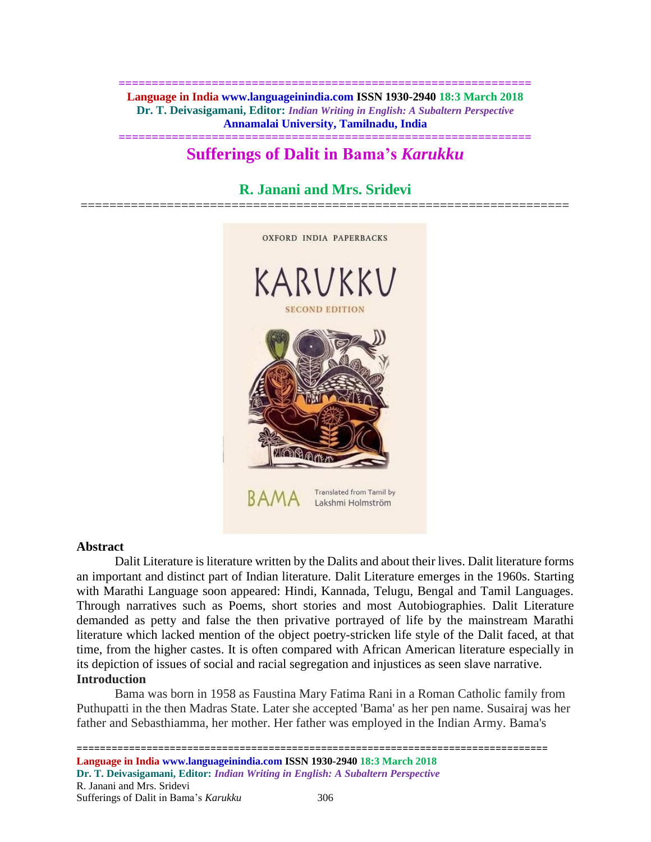**============================================================== Language in India www.languageinindia.com ISSN 1930-2940 18:3 March 2018 Dr. T. Deivasigamani, Editor:** *Indian Writing in English: A Subaltern Perspective* **Annamalai University, Tamilnadu, India**

# **============================================================== Sufferings of Dalit in Bama's** *Karukku*

# **R. Janani and Mrs. Sridevi**



#### **Abstract**

Dalit Literature is literature written by the Dalits and about their lives. Dalit literature forms an important and distinct part of Indian literature. Dalit Literature emerges in the 1960s. Starting with Marathi Language soon appeared: Hindi, Kannada, Telugu, Bengal and Tamil Languages. Through narratives such as Poems, short stories and most Autobiographies. Dalit Literature demanded as petty and false the then privative portrayed of life by the mainstream Marathi literature which lacked mention of the object poetry-stricken life style of the Dalit faced, at that time, from the higher castes. It is often compared with African American literature especially in its depiction of issues of social and racial segregation and injustices as seen slave narrative. **Introduction** 

Bama was born in 1958 as Faustina Mary Fatima Rani in a Roman Catholic family from Puthupatti in the then Madras State. Later she accepted 'Bama' as her pen name. Susairaj was her father and Sebasthiamma, her mother. Her father was employed in the Indian Army. Bama's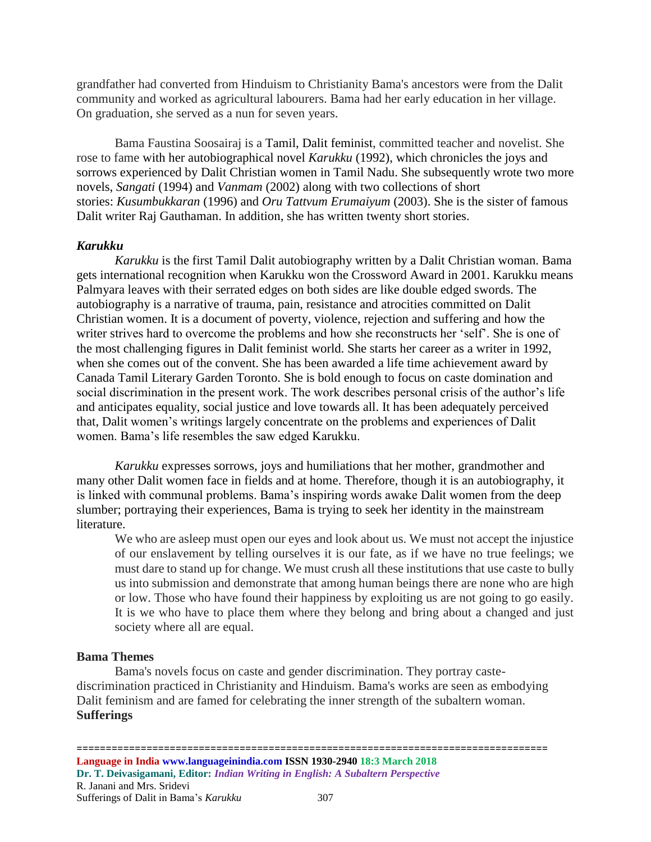grandfather had converted from Hinduism to Christianity Bama's ancestors were from the Dalit community and worked as agricultural labourers. Bama had her early education in her village. On graduation, she served as a nun for seven years.

Bama Faustina Soosairaj is a Tamil, [Dalit](https://en.wikipedia.org/wiki/Dalit) [feminist,](https://en.wikipedia.org/wiki/Feminist) committed teacher and novelist. She rose to fame with her [autobiographical novel](https://en.wikipedia.org/wiki/Autobiographical_novel) *Karukku* (1992), which chronicles the joys and sorrows experienced by [Dalit](https://en.wikipedia.org/wiki/Dalit) [Christian](https://en.wikipedia.org/wiki/Christian) women in [Tamil Nadu.](https://en.wikipedia.org/wiki/Tamil_Nadu) She subsequently wrote two more novels, *Sangati* (1994) and *Vanmam* (2002) along with two collections of short stories: *Kusumbukkaran* (1996) and *Oru Tattvum Erumaiyum* (2003). She is the sister of famous Dalit writer Raj Gauthaman. In addition, she has written twenty short stories.

## *Karukku*

*Karukku* is the first Tamil Dalit autobiography written by a Dalit Christian woman. Bama gets international recognition when Karukku won the Crossword Award in 2001. Karukku means Palmyara leaves with their serrated edges on both sides are like double edged swords. The autobiography is a narrative of trauma, pain, resistance and atrocities committed on Dalit Christian women. It is a document of poverty, violence, rejection and suffering and how the writer strives hard to overcome the problems and how she reconstructs her 'self'. She is one of the most challenging figures in Dalit feminist world. She starts her career as a writer in 1992, when she comes out of the convent. She has been awarded a life time achievement award by Canada Tamil Literary Garden Toronto. She is bold enough to focus on caste domination and social discrimination in the present work. The work describes personal crisis of the author's life and anticipates equality, social justice and love towards all. It has been adequately perceived that, Dalit women's writings largely concentrate on the problems and experiences of Dalit women. Bama's life resembles the saw edged Karukku.

*Karukku* expresses sorrows, joys and humiliations that her mother, grandmother and many other Dalit women face in fields and at home. Therefore, though it is an autobiography, it is linked with communal problems. Bama's inspiring words awake Dalit women from the deep slumber; portraying their experiences, Bama is trying to seek her identity in the mainstream literature.

We who are asleep must open our eyes and look about us. We must not accept the injustice of our enslavement by telling ourselves it is our fate, as if we have no true feelings; we must dare to stand up for change. We must crush all these institutions that use caste to bully us into submission and demonstrate that among human beings there are none who are high or low. Those who have found their happiness by exploiting us are not going to go easily. It is we who have to place them where they belong and bring about a changed and just society where all are equal.

### **Bama Themes**

Bama's novels focus on caste and gender discrimination. They portray castediscrimination practiced in Christianity and Hinduism. Bama's works are seen as embodying Dalit feminism and are famed for celebrating the inner strength of the subaltern woman. **Sufferings**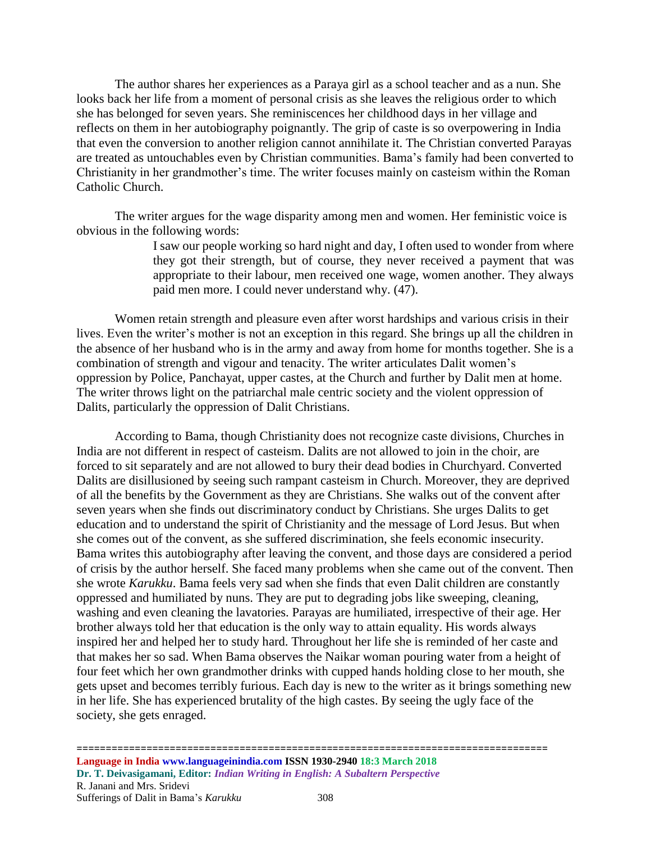The author shares her experiences as a Paraya girl as a school teacher and as a nun. She looks back her life from a moment of personal crisis as she leaves the religious order to which she has belonged for seven years. She reminiscences her childhood days in her village and reflects on them in her autobiography poignantly. The grip of caste is so overpowering in India that even the conversion to another religion cannot annihilate it. The Christian converted Parayas are treated as untouchables even by Christian communities. Bama's family had been converted to Christianity in her grandmother's time. The writer focuses mainly on casteism within the Roman Catholic Church.

The writer argues for the wage disparity among men and women. Her feministic voice is obvious in the following words:

> I saw our people working so hard night and day, I often used to wonder from where they got their strength, but of course, they never received a payment that was appropriate to their labour, men received one wage, women another. They always paid men more. I could never understand why. (47).

Women retain strength and pleasure even after worst hardships and various crisis in their lives. Even the writer's mother is not an exception in this regard. She brings up all the children in the absence of her husband who is in the army and away from home for months together. She is a combination of strength and vigour and tenacity. The writer articulates Dalit women's oppression by Police, Panchayat, upper castes, at the Church and further by Dalit men at home. The writer throws light on the patriarchal male centric society and the violent oppression of Dalits, particularly the oppression of Dalit Christians.

According to Bama, though Christianity does not recognize caste divisions, Churches in India are not different in respect of casteism. Dalits are not allowed to join in the choir, are forced to sit separately and are not allowed to bury their dead bodies in Churchyard. Converted Dalits are disillusioned by seeing such rampant casteism in Church. Moreover, they are deprived of all the benefits by the Government as they are Christians. She walks out of the convent after seven years when she finds out discriminatory conduct by Christians. She urges Dalits to get education and to understand the spirit of Christianity and the message of Lord Jesus. But when she comes out of the convent, as she suffered discrimination, she feels economic insecurity. Bama writes this autobiography after leaving the convent, and those days are considered a period of crisis by the author herself. She faced many problems when she came out of the convent. Then she wrote *Karukku*. Bama feels very sad when she finds that even Dalit children are constantly oppressed and humiliated by nuns. They are put to degrading jobs like sweeping, cleaning, washing and even cleaning the lavatories. Parayas are humiliated, irrespective of their age. Her brother always told her that education is the only way to attain equality. His words always inspired her and helped her to study hard. Throughout her life she is reminded of her caste and that makes her so sad. When Bama observes the Naikar woman pouring water from a height of four feet which her own grandmother drinks with cupped hands holding close to her mouth, she gets upset and becomes terribly furious. Each day is new to the writer as it brings something new in her life. She has experienced brutality of the high castes. By seeing the ugly face of the society, she gets enraged.